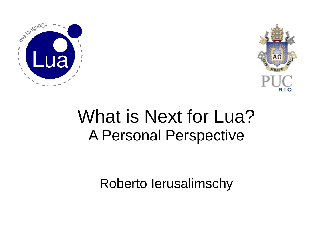



#### What is Next for Lua? A Personal Perspective

Roberto Ierusalimschy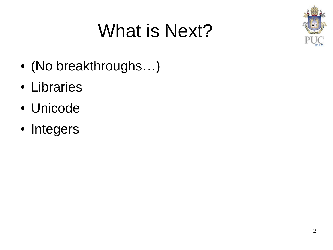#### What is Next?



- (No breakthroughs...)
- Libraries
- Unicode
- Integers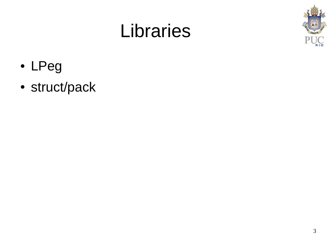#### Libraries



- LPeg
- struct/pack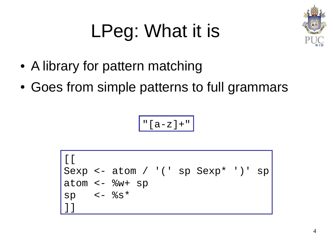# LPeg: What it is



- A library for pattern matching
- Goes from simple patterns to full grammars

 $"[a-z]+"$ 

 $[$ [ $]$ Sexp <- atom / '(' sp Sexp\* ')' sp atom <- %w+ sp sp  $\lt$ - %s\* ]]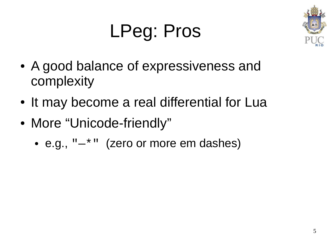#### LPeg: Pros



- A good balance of expressiveness and complexity
- It may become a real differential for Lua
- More "Unicode-friendly"
	- e.g.,  $" *"$  (zero or more em dashes)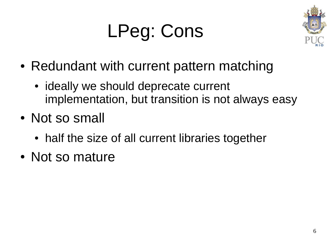



- Redundant with current pattern matching
	- ideally we should deprecate current implementation, but transition is not always easy
- Not so small
	- half the size of all current libraries together
- Not so mature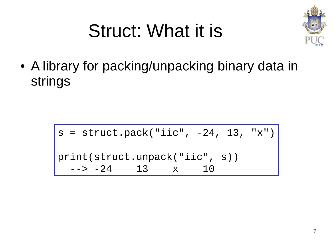

#### Struct: What it is

• A library for packing/unpacking binary data in strings

> $s = struct.pack("iic", -24, 13, "x")$ print(struct.unpack("iic", s))  $> -24$  13  $\times$  10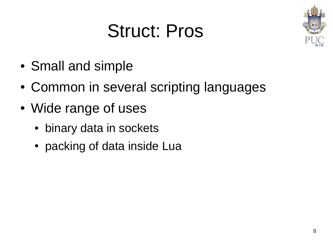#### Struct: Pros



- Small and simple
- Common in several scripting languages
- Wide range of uses
	- binary data in sockets
	- packing of data inside Lua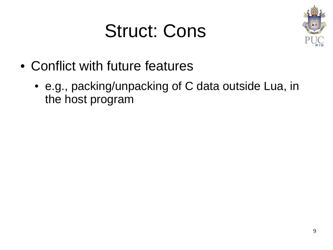#### Struct: Cons



- Conflict with future features
	- e.g., packing/unpacking of C data outside Lua, in the host program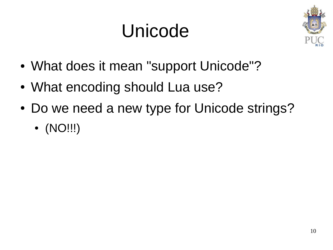#### Unicode



- What does it mean "support Unicode"?
- What encoding should Lua use?
- Do we need a new type for Unicode strings?
	- (NO!!!)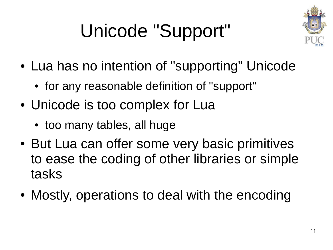# Unicode "Support"



- Lua has no intention of "supporting" Unicode
	- for any reasonable definition of "support"
- Unicode is too complex for Lua
	- too many tables, all huge
- But Lua can offer some very basic primitives to ease the coding of other libraries or simple tasks
- Mostly, operations to deal with the encoding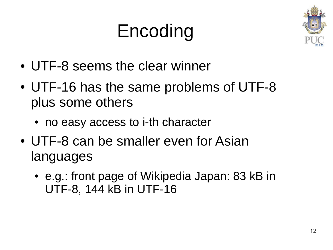#### Encoding



- UTF-8 seems the clear winner
- UTF-16 has the same problems of UTF-8 plus some others
	- no easy access to i-th character
- UTF-8 can be smaller even for Asian languages
	- e.g.: front page of Wikipedia Japan: 83 kB in UTF-8, 144 kB in UTF-16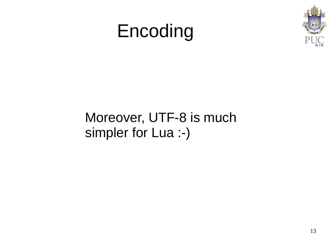#### Encoding



#### Moreover, UTF-8 is much simpler for Lua :-)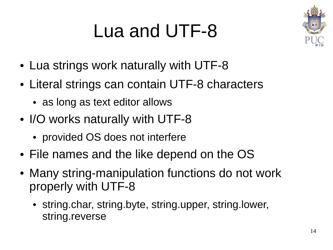#### Lua and UTF-8



- Lua strings work naturally with UTF-8
- Literal strings can contain UTF-8 characters
	- as long as text editor allows
- I/O works naturally with UTF-8
	- provided OS does not interfere
- File names and the like depend on the OS
- Many string-manipulation functions do not work properly with UTF-8
	- string.char, string.byte, string.upper, string.lower, string.reverse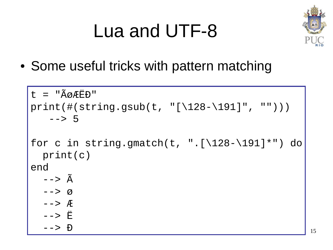#### Lua and UTF-8



15

• Some useful tricks with pattern matching

```
t = "Å\phi \angle EED"print(#(string.gsub(t, "[\128-\191]", "")))
    --&>5for c in string.gmatch(t, ".[\128 - \191]*") do
   print(c)
end
  \sim -> \tilde{A} --> ø
   --> Æ
   --> Ë
   --> Ð
```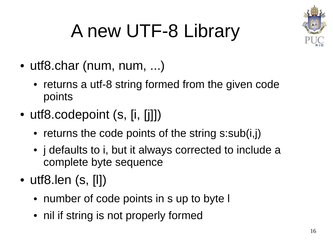

# A new UTF-8 Library

- utf8.char (num, num, ...)
	- returns a utf-8 string formed from the given code points
- utf8.codepoint (s, [i, [j]])
	- $\bullet$  returns the code points of the string s:sub(i,j)
	- *j* defaults to *i*, but it always corrected to include a complete byte sequence
- $\bullet$  utf8.len (s, [I])
	- number of code points in s up to byte I
	- nil if string is not properly formed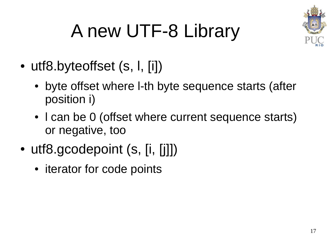

# A new UTF-8 Library

- utf8.byteoffset (s, l, [i])
	- byte offset where I-th byte sequence starts (after position i)
	- I can be 0 (offset where current sequence starts) or negative, too
- utf8.gcodepoint (s, [i, [j]])
	- iterator for code points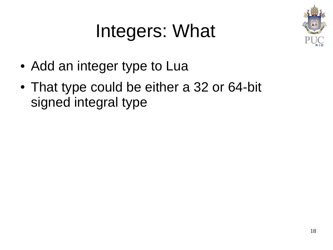#### Integers: What



- Add an integer type to Lua
- That type could be either a 32 or 64-bit signed integral type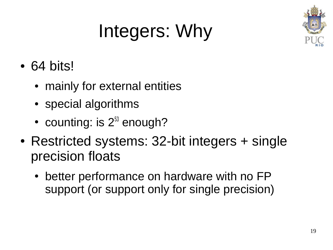# Integers: Why

- $\cdot$  64 bits!
	- mainly for external entities
	- special algorithms
	- counting: is  $2^{53}$  enough?
- Restricted systems: 32-bit integers + single precision floats
	- better performance on hardware with no FP support (or support only for single precision)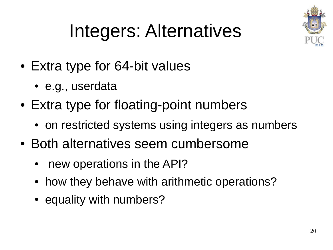

# Integers: Alternatives

- Extra type for 64-bit values
	- e.g., userdata
- Extra type for floating-point numbers
	- on restricted systems using integers as numbers
- Both alternatives seem cumbersome
	- new operations in the API?
	- how they behave with arithmetic operations?
	- equality with numbers?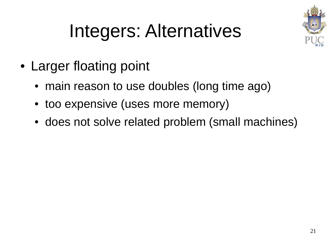

#### Integers: Alternatives

- Larger floating point
	- main reason to use doubles (long time ago)
	- too expensive (uses more memory)
	- does not solve related problem (small machines)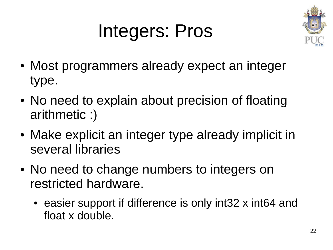#### Integers: Pros



- Most programmers already expect an integer type.
- No need to explain about precision of floating arithmetic :)
- Make explicit an integer type already implicit in several libraries
- No need to change numbers to integers on restricted hardware.
	- easier support if difference is only int32 x int64 and float x double.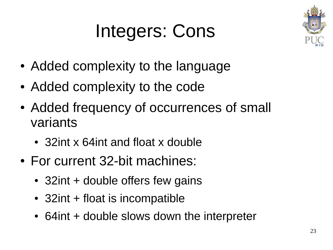#### Integers: Cons



- Added complexity to the language
- Added complexity to the code
- Added frequency of occurrences of small variants
	- 32int x 64int and float x double
- For current 32-bit machines:
	- 32 $int$  + double offers few gains
	- $\cdot$  32int + float is incompatible
	- 64int + double slows down the interpreter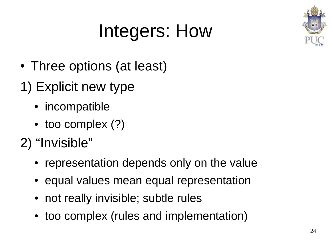

- Three options (at least)
- 1) Explicit new type
	- incompatible
	- too complex (?)
- 2) "Invisible"
	- representation depends only on the value
	- equal values mean equal representation
	- not really invisible; subtle rules
	- too complex (rules and implementation)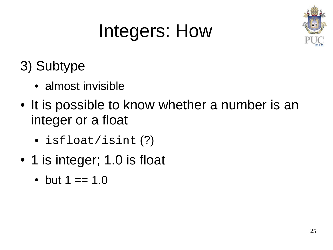

#### 3) Subtype

- almost invisible
- It is possible to know whether a number is an integer or a float
	- isfloat/isint (?)
- 1 is integer; 1.0 is float
	- but  $1 == 1.0$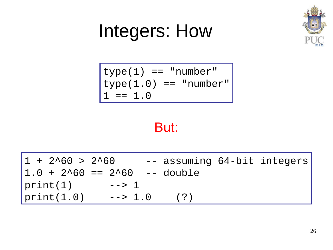

$$
\begin{array}{ll}\n\text{type}(1) == "number" \\
\text{type}(1.0) == "number"\n1 == 1.0\n\end{array}
$$

#### But:

| $1 + 2^{0}60 > 2^{0}60$          |                |       | -- assuming 64-bit integers |
|----------------------------------|----------------|-------|-----------------------------|
| $1.0 + 2^060 == 2^060 --$ double |                |       |                             |
| print(1)                         | $\sim$ - $>$ 1 |       |                             |
| print(1.0)                       | $-- > 1.0$     | ( ? ) |                             |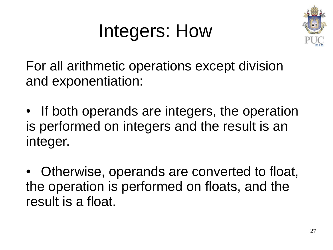

For all arithmetic operations except division and exponentiation:

• If both operands are integers, the operation is performed on integers and the result is an integer.

Otherwise, operands are converted to float, the operation is performed on floats, and the result is a float.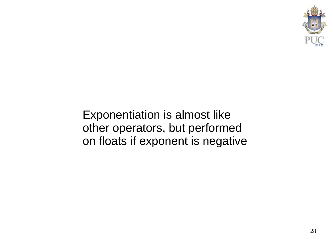

Exponentiation is almost like other operators, but performed on floats if exponent is negative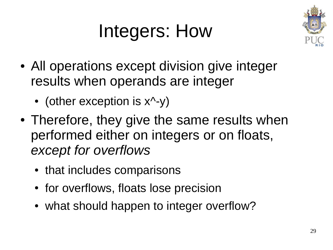

- All operations except division give integer results when operands are integer
	- (other exception is  $x^2-y$ )
- Therefore, they give the same results when performed either on integers or on floats, *except for overflows*
	- that includes comparisons
	- for overflows, floats lose precision
	- what should happen to integer overflow?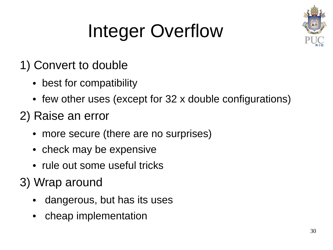

# Integer Overflow

- 1) Convert to double
	- best for compatibility
	- few other uses (except for 32 x double configurations)
- 2) Raise an error
	- more secure (there are no surprises)
	- check may be expensive
	- rule out some useful tricks
- 3) Wrap around
	- dangerous, but has its uses
	- cheap implementation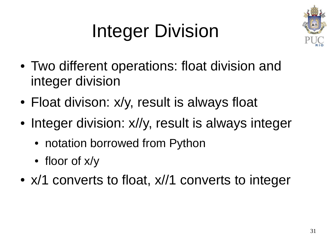# Integer Division



- Two different operations: float division and integer division
- Float divison: x/y, result is always float
- Integer division: x//y, result is always integer
	- notation borrowed from Python
	- floor of x/y
- x/1 converts to float, x//1 converts to integer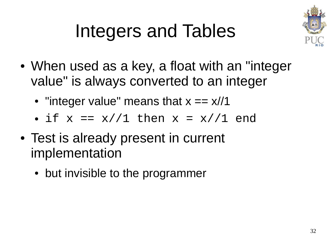

#### Integers and Tables

- When used as a key, a float with an "integer value" is always converted to an integer
	- "integer value" means that  $x = x/11$
	- if  $x == x//1$  then  $x = x//1$  end
- Test is already present in current implementation
	- but invisible to the programmer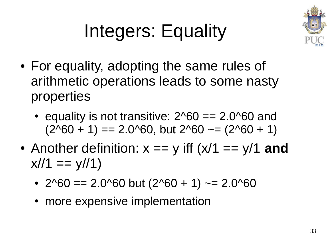

#### Integers: Equality

- For equality, adopting the same rules of arithmetic operations leads to some nasty properties
	- equality is not transitive:  $2^0$ 60 == 2.0 $^0$ 60 and  $(2^060 + 1) = 2.0^060$ , but  $2^060 \approx 2^060 + 1$
- Another definition:  $x == y$  iff  $(x/1 == y/1$  and  $x/1 == y/11$ 
	- 2^60 == 2.0^60 but  $(2^060 + 1)$  ~= 2.0^60
	- more expensive implementation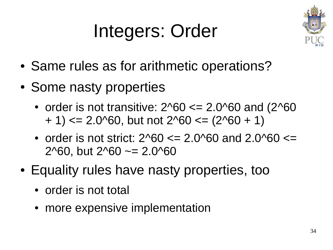#### Integers: Order



- Same rules as for arithmetic operations?
- Some nasty properties
	- order is not transitive:  $2^060 \le 2.0^060$  and  $(2^060$  $+ 1$ ) <= 2.0^60, but not 2^60 <= (2^60 + 1)
	- order is not strict:  $2^060 \le 2.0^060$  and  $2.0^060 \le$ 2^60, but  $2^0$ 60  $\sim$  = 2.0^60
- Equality rules have nasty properties, too
	- order is not total
	- more expensive implementation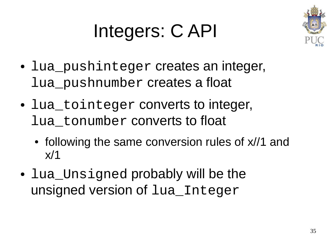#### Integers: C API



- lua\_pushinteger creates an integer, lua\_pushnumber creates a float
- lua\_tointeger converts to integer, lua\_tonumber converts to float
	- following the same conversion rules of  $x/1$  and  $x/1$
- lua\_Unsigned probably will be the unsigned version of lua\_Integer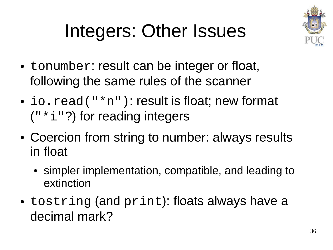

### Integers: Other Issues

- tonumber: result can be integer or float, following the same rules of the scanner
- io.  $read("*n")$ : result is float; new format  $('''*i'')$  for reading integers
- Coercion from string to number: always results in float
	- simpler implementation, compatible, and leading to extinction
- tostring (and print): floats always have a decimal mark?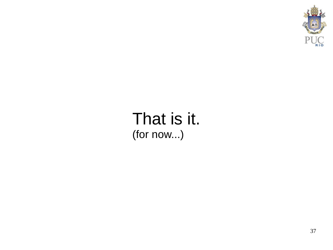

#### That is it. (for now...)